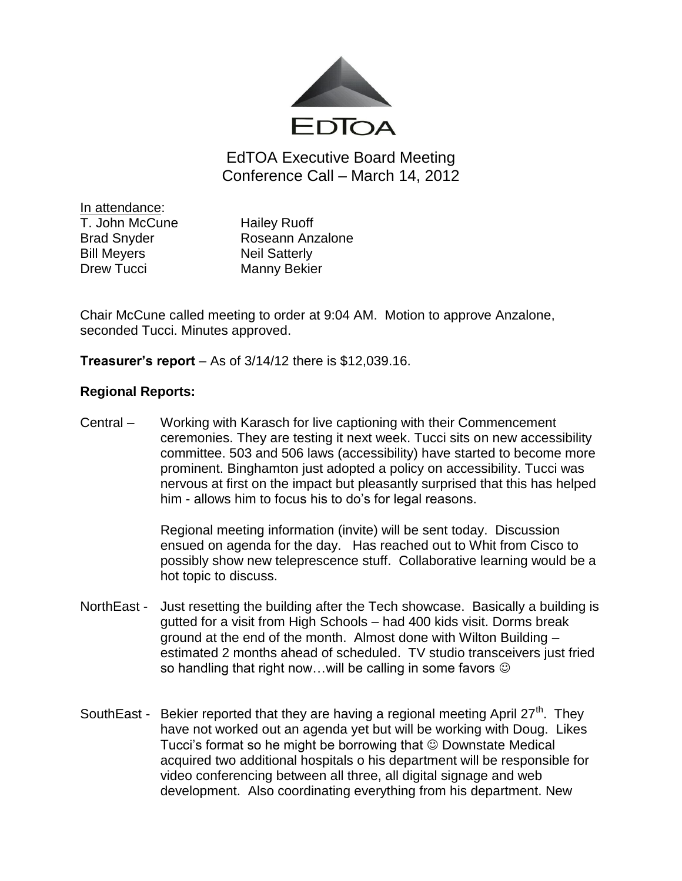

EdTOA Executive Board Meeting Conference Call – March 14, 2012

In attendance: T. John McCune Hailey Ruoff Bill Meyers Neil Satterly Drew Tucci Manny Bekier

Brad Snyder **Roseann Anzalone** 

Chair McCune called meeting to order at 9:04 AM. Motion to approve Anzalone, seconded Tucci. Minutes approved.

**Treasurer's report** – As of 3/14/12 there is \$12,039.16.

## **Regional Reports:**

Central – Working with Karasch for live captioning with their Commencement ceremonies. They are testing it next week. Tucci sits on new accessibility committee. 503 and 506 laws (accessibility) have started to become more prominent. Binghamton just adopted a policy on accessibility. Tucci was nervous at first on the impact but pleasantly surprised that this has helped him - allows him to focus his to do's for legal reasons.

> Regional meeting information (invite) will be sent today. Discussion ensued on agenda for the day. Has reached out to Whit from Cisco to possibly show new teleprescence stuff. Collaborative learning would be a hot topic to discuss.

- NorthEast Just resetting the building after the Tech showcase. Basically a building is gutted for a visit from High Schools – had 400 kids visit. Dorms break ground at the end of the month. Almost done with Wilton Building – estimated 2 months ahead of scheduled. TV studio transceivers just fried so handling that right now...will be calling in some favors  $\odot$
- SouthEast Bekier reported that they are having a regional meeting April  $27<sup>th</sup>$ . They have not worked out an agenda yet but will be working with Doug. Likes Tucci's format so he might be borrowing that  $\odot$  Downstate Medical acquired two additional hospitals o his department will be responsible for video conferencing between all three, all digital signage and web development. Also coordinating everything from his department. New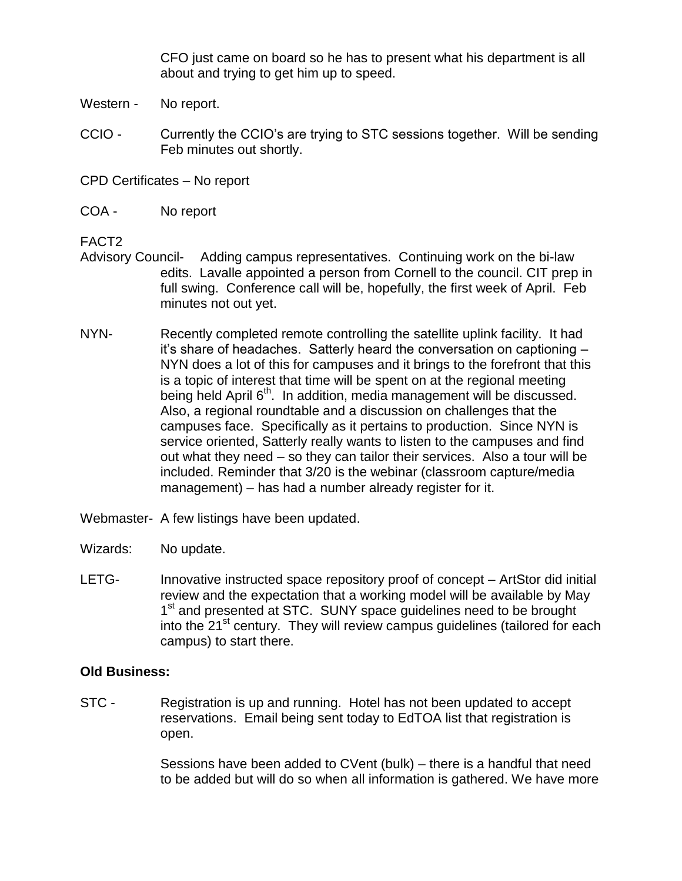CFO just came on board so he has to present what his department is all about and trying to get him up to speed.

- Western No report.
- CCIO Currently the CCIO's are trying to STC sessions together. Will be sending Feb minutes out shortly.

CPD Certificates – No report

COA - No report

FACT2

- Advisory Council- Adding campus representatives. Continuing work on the bi-law edits. Lavalle appointed a person from Cornell to the council. CIT prep in full swing. Conference call will be, hopefully, the first week of April. Feb minutes not out yet.
- NYN- Recently completed remote controlling the satellite uplink facility. It had it's share of headaches. Satterly heard the conversation on captioning – NYN does a lot of this for campuses and it brings to the forefront that this is a topic of interest that time will be spent on at the regional meeting being held April  $6<sup>th</sup>$ . In addition, media management will be discussed. Also, a regional roundtable and a discussion on challenges that the campuses face. Specifically as it pertains to production. Since NYN is service oriented, Satterly really wants to listen to the campuses and find out what they need – so they can tailor their services. Also a tour will be included. Reminder that 3/20 is the webinar (classroom capture/media management) – has had a number already register for it.
- Webmaster- A few listings have been updated.
- Wizards: No update.
- LETG- Innovative instructed space repository proof of concept ArtStor did initial review and the expectation that a working model will be available by May 1<sup>st</sup> and presented at STC. SUNY space guidelines need to be brought into the 21<sup>st</sup> century. They will review campus quidelines (tailored for each campus) to start there.

## **Old Business:**

STC - Registration is up and running. Hotel has not been updated to accept reservations. Email being sent today to EdTOA list that registration is open.

> Sessions have been added to CVent (bulk) – there is a handful that need to be added but will do so when all information is gathered. We have more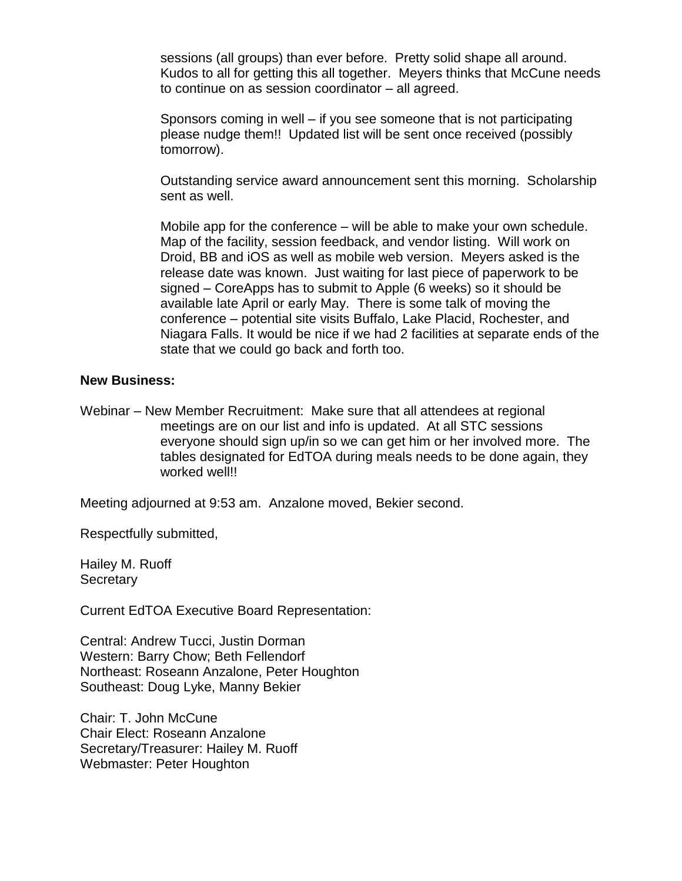sessions (all groups) than ever before. Pretty solid shape all around. Kudos to all for getting this all together. Meyers thinks that McCune needs to continue on as session coordinator – all agreed.

Sponsors coming in well – if you see someone that is not participating please nudge them!! Updated list will be sent once received (possibly tomorrow).

Outstanding service award announcement sent this morning. Scholarship sent as well.

Mobile app for the conference – will be able to make your own schedule. Map of the facility, session feedback, and vendor listing. Will work on Droid, BB and iOS as well as mobile web version. Meyers asked is the release date was known. Just waiting for last piece of paperwork to be signed – CoreApps has to submit to Apple (6 weeks) so it should be available late April or early May. There is some talk of moving the conference – potential site visits Buffalo, Lake Placid, Rochester, and Niagara Falls. It would be nice if we had 2 facilities at separate ends of the state that we could go back and forth too.

## **New Business:**

Webinar – New Member Recruitment: Make sure that all attendees at regional meetings are on our list and info is updated. At all STC sessions everyone should sign up/in so we can get him or her involved more. The tables designated for EdTOA during meals needs to be done again, they worked well!!

Meeting adjourned at 9:53 am. Anzalone moved, Bekier second.

Respectfully submitted,

Hailey M. Ruoff **Secretary** 

Current EdTOA Executive Board Representation:

Central: Andrew Tucci, Justin Dorman Western: Barry Chow; Beth Fellendorf Northeast: Roseann Anzalone, Peter Houghton Southeast: Doug Lyke, Manny Bekier

Chair: T. John McCune Chair Elect: Roseann Anzalone Secretary/Treasurer: Hailey M. Ruoff Webmaster: Peter Houghton